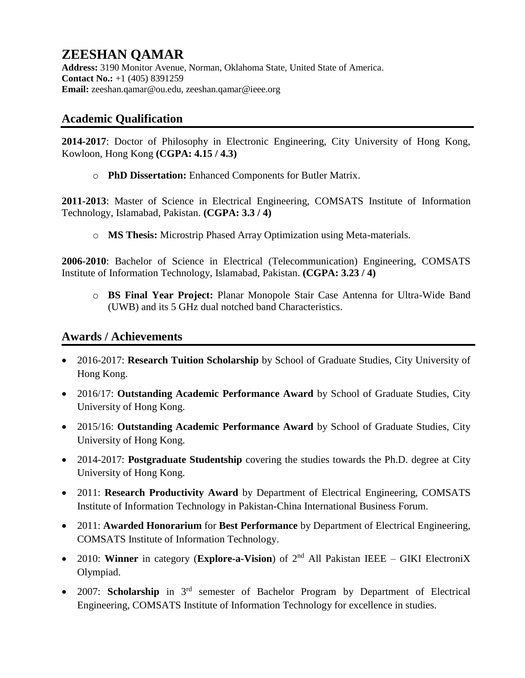# **ZEESHAN QAMAR**

**Address:** 3190 Monitor Avenue, Norman, Oklahoma State, United State of America. **Contact No.:** +1 (405) 8391259 **Email:** zeeshan.qamar@ou.edu, zeeshan.qamar@ieee.org

### **Academic Qualification**

**2014-2017**: Doctor of Philosophy in Electronic Engineering, City University of Hong Kong, Kowloon, Hong Kong **(CGPA: 4.15 / 4.3)** 

o **PhD Dissertation:** Enhanced Components for Butler Matrix.

**2011-2013**: Master of Science in Electrical Engineering, COMSATS Institute of Information Technology, Islamabad, Pakistan. **(CGPA: 3.3 / 4)**

o **MS Thesis:** Microstrip Phased Array Optimization using Meta-materials.

**2006-2010**: Bachelor of Science in Electrical (Telecommunication) Engineering, COMSATS Institute of Information Technology, Islamabad, Pakistan. **(CGPA: 3.23 / 4)**

o **BS Final Year Project:** Planar Monopole Stair Case Antenna for Ultra-Wide Band (UWB) and its 5 GHz dual notched band Characteristics.

## **Awards / Achievements**

- 2016-2017: **Research Tuition Scholarship** by School of Graduate Studies, City University of Hong Kong.
- 2016/17: **Outstanding Academic Performance Award** by School of Graduate Studies, City University of Hong Kong.
- 2015/16: **Outstanding Academic Performance Award** by School of Graduate Studies, City University of Hong Kong.
- 2014-2017: **Postgraduate Studentship** covering the studies towards the Ph.D. degree at City University of Hong Kong.
- 2011: **Research Productivity Award** by Department of Electrical Engineering, COMSATS Institute of Information Technology in Pakistan-China International Business Forum.
- 2011: **Awarded Honorarium** for **Best Performance** by Department of Electrical Engineering, COMSATS Institute of Information Technology.
- 2010: **Winner** in category (**Explore-a-Vision**) of 2<sup>nd</sup> All Pakistan IEEE GIKI ElectroniX Olympiad.
- 2007: **Scholarship** in 3rd semester of Bachelor Program by Department of Electrical Engineering, COMSATS Institute of Information Technology for excellence in studies.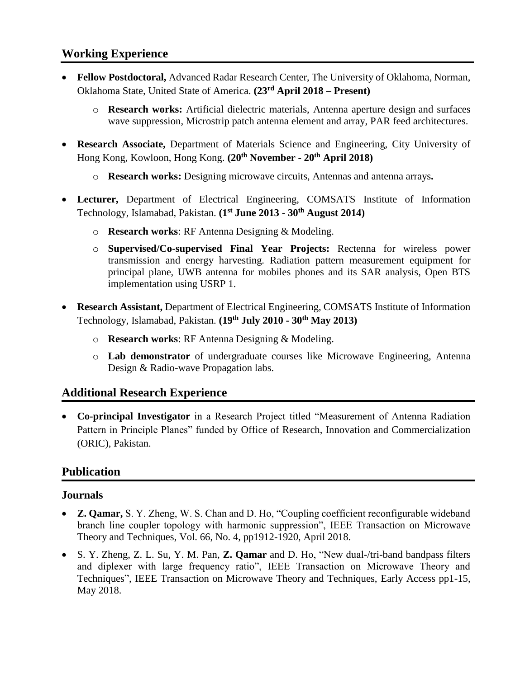### **Working Experience**

- **Fellow Postdoctoral,** Advanced Radar Research Center, The University of Oklahoma, Norman, Oklahoma State, United State of America. **(23rd April 2018 – Present)**
	- o **Research works:** Artificial dielectric materials, Antenna aperture design and surfaces wave suppression, Microstrip patch antenna element and array, PAR feed architectures.
- **Research Associate,** Department of Materials Science and Engineering, City University of Hong Kong, Kowloon, Hong Kong. **(20th November - 20th April 2018)**
	- o **Research works:** Designing microwave circuits, Antennas and antenna arrays**.**
- **Lecturer,** Department of Electrical Engineering, COMSATS Institute of Information Technology, Islamabad, Pakistan. **(1st June 2013 - 30th August 2014)**
	- o **Research works**: RF Antenna Designing & Modeling.
	- o **Supervised/Co-supervised Final Year Projects:** Rectenna for wireless power transmission and energy harvesting. Radiation pattern measurement equipment for principal plane, UWB antenna for mobiles phones and its SAR analysis, Open BTS implementation using USRP 1.
- **Research Assistant,** Department of Electrical Engineering, COMSATS Institute of Information Technology, Islamabad, Pakistan. **(19th July 2010 - 30th May 2013)**
	- o **Research works**: RF Antenna Designing & Modeling.
	- o **Lab demonstrator** of undergraduate courses like Microwave Engineering, Antenna Design & Radio-wave Propagation labs.

### **Additional Research Experience**

• **Co-principal Investigator** in a Research Project titled "Measurement of Antenna Radiation Pattern in Principle Planes" funded by Office of Research, Innovation and Commercialization (ORIC), Pakistan.

### **Publication**

#### **Journals**

- **Z. Qamar,** S. Y. Zheng, W. S. Chan and D. Ho, "Coupling coefficient reconfigurable wideband branch line coupler topology with harmonic suppression", IEEE Transaction on Microwave Theory and Techniques, Vol. 66, No. 4, pp1912-1920, April 2018.
- S. Y. Zheng, Z. L. Su, Y. M. Pan, **Z. Qamar** and D. Ho, "New dual-/tri-band bandpass filters and diplexer with large frequency ratio", IEEE Transaction on Microwave Theory and Techniques", IEEE Transaction on Microwave Theory and Techniques, Early Access pp1-15, May 2018.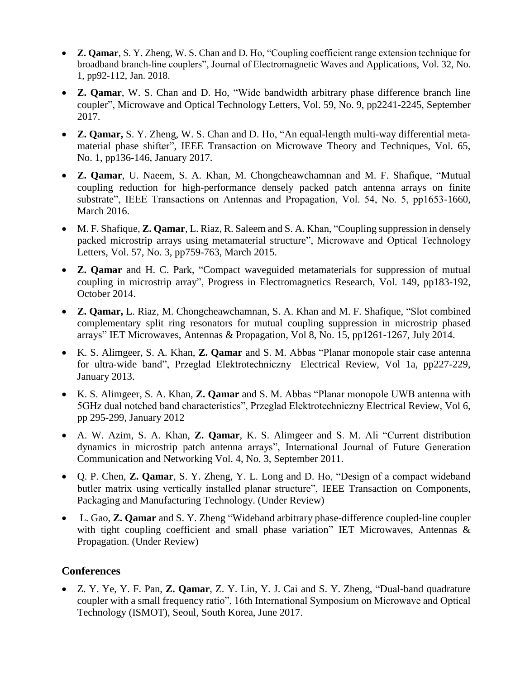- **Z. Qamar**, S. Y. Zheng, W. S. Chan and D. Ho, "Coupling coefficient range extension technique for broadband branch-line couplers", Journal of Electromagnetic Waves and Applications, Vol. 32, No. 1, pp92-112, Jan. 2018.
- **Z. Qamar**, W. S. Chan and D. Ho, "Wide bandwidth arbitrary phase difference branch line coupler", Microwave and Optical Technology Letters, Vol. 59, No. 9, pp2241-2245, September 2017.
- **Z. Qamar,** S. Y. Zheng, W. S. Chan and D. Ho, "An equal-length multi-way differential metamaterial phase shifter", IEEE Transaction on Microwave Theory and Techniques, Vol. 65, No. 1, pp136-146, January 2017.
- **Z. Qamar**, U. Naeem, S. A. Khan, M. Chongcheawchamnan and M. F. Shafique, "Mutual coupling reduction for high-performance densely packed patch antenna arrays on finite substrate", IEEE Transactions on Antennas and Propagation, Vol. 54, No. 5, pp1653-1660, March 2016.
- M. F. Shafique, **Z. Qamar**, L. Riaz, R. Saleem and S. A. Khan, "Coupling suppression in densely packed microstrip arrays using metamaterial structure", Microwave and Optical Technology Letters, Vol. 57, No. 3, pp759-763, March 2015.
- **Z. Qamar** and H. C. Park, "Compact waveguided metamaterials for suppression of mutual coupling in microstrip array", Progress in Electromagnetics Research, Vol. 149, pp183-192, October 2014.
- **Z. Qamar,** L. Riaz, M. Chongcheawchamnan, S. A. Khan and M. F. Shafique, "Slot combined complementary split ring resonators for mutual coupling suppression in microstrip phased arrays" IET Microwaves, Antennas & Propagation, Vol 8, No. 15, pp1261-1267, July 2014.
- K. S. Alimgeer, S. A. Khan, **Z. Qamar** and S. M. Abbas "Planar monopole stair case antenna for ultra-wide band", Przeglad Elektrotechniczny Electrical Review, Vol 1a, pp227-229, January 2013.
- K. S. Alimgeer, S. A. Khan, **Z. Qamar** and S. M. Abbas "Planar monopole UWB antenna with 5GHz dual notched band characteristics", Przeglad Elektrotechniczny Electrical Review, Vol 6, pp 295-299, January 2012
- A. W. Azim, S. A. Khan, **Z. Qamar**, K. S. Alimgeer and S. M. Ali "Current distribution dynamics in microstrip patch antenna arrays", International Journal of Future Generation Communication and Networking Vol. 4, No. 3, September 2011.
- Q. P. Chen, **Z. Qamar**, S. Y. Zheng, Y. L. Long and D. Ho, "Design of a compact wideband butler matrix using vertically installed planar structure", IEEE Transaction on Components, Packaging and Manufacturing Technology. (Under Review)
- L. Gao, **Z. Qamar** and S. Y. Zheng "Wideband arbitrary phase-difference coupled-line coupler with tight coupling coefficient and small phase variation" IET Microwaves, Antennas & Propagation. (Under Review)

### **Conferences**

• Z. Y. Ye, Y. F. Pan, **Z. Qamar**, Z. Y. Lin, Y. J. Cai and S. Y. Zheng, "Dual-band quadrature coupler with a small frequency ratio", 16th International Symposium on Microwave and Optical Technology (ISMOT), Seoul, South Korea, June 2017.